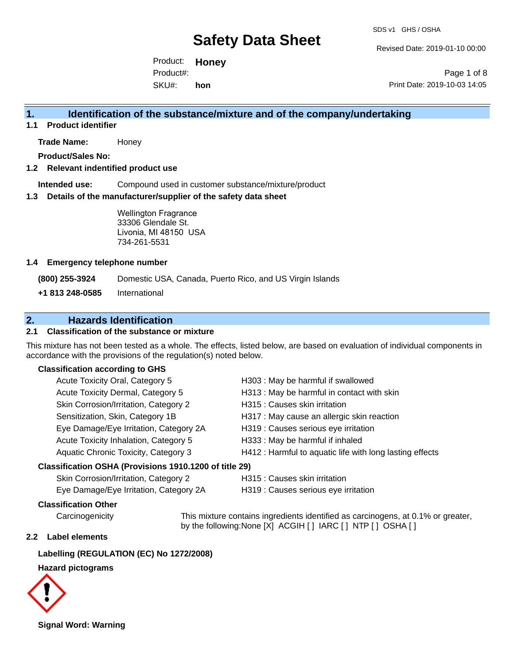Revised Date: 2019-01-10 00:00

Product: **Honey** SKU#: Product#: **hon**

Page 1 of 8 Print Date: 2019-10-03 14:05

## **1. Identification of the substance/mixture and of the company/undertaking**

**1.1 Product identifier**

**Trade Name:** Honey

**Product/Sales No:**

#### **1.2 Relevant indentified product use**

**Intended use:** Compound used in customer substance/mixture/product

#### **1.3 Details of the manufacturer/supplier of the safety data sheet**

Wellington Fragrance 33306 Glendale St. Livonia, MI 48150 USA 734-261-5531

#### **1.4 Emergency telephone number**

**(800) 255-3924** Domestic USA, Canada, Puerto Rico, and US Virgin Islands

**+1 813 248-0585** International

## **2. Hazards Identification**

## **2.1 Classification of the substance or mixture**

This mixture has not been tested as a whole. The effects, listed below, are based on evaluation of individual components in accordance with the provisions of the regulation(s) noted below.

### **Classification according to GHS**

| Acute Toxicity Oral, Category 5                     | H303 : May be harmful if swallowed                       |
|-----------------------------------------------------|----------------------------------------------------------|
| Acute Toxicity Dermal, Category 5                   | H313 : May be harmful in contact with skin               |
| Skin Corrosion/Irritation, Category 2               | H315 : Causes skin irritation                            |
| Sensitization, Skin, Category 1B                    | H317 : May cause an allergic skin reaction               |
| Eye Damage/Eye Irritation, Category 2A              | H319 : Causes serious eye irritation                     |
| Acute Toxicity Inhalation, Category 5               | H333: May be harmful if inhaled                          |
| Aquatic Chronic Toxicity, Category 3                | H412 : Harmful to aquatic life with long lasting effects |
| ssification OSHA (Provisions 1910 1200 of title 29) |                                                          |

### **Classifica**

| Skin Corrosion/Irritation, Category 2  |  |
|----------------------------------------|--|
| Eye Damage/Eye Irritation, Category 2A |  |

H315 : Causes skin irritation

H319 : Causes serious eye irritation

## **Classification Other**

Carcinogenicity This mixture contains ingredients identified as carcinogens, at 0.1% or greater, by the following:None [X] ACGIH [ ] IARC [ ] NTP [ ] OSHA [ ]

### **2.2 Label elements**

## **Labelling (REGULATION (EC) No 1272/2008)**

#### **Hazard pictograms**



**Signal Word: Warning**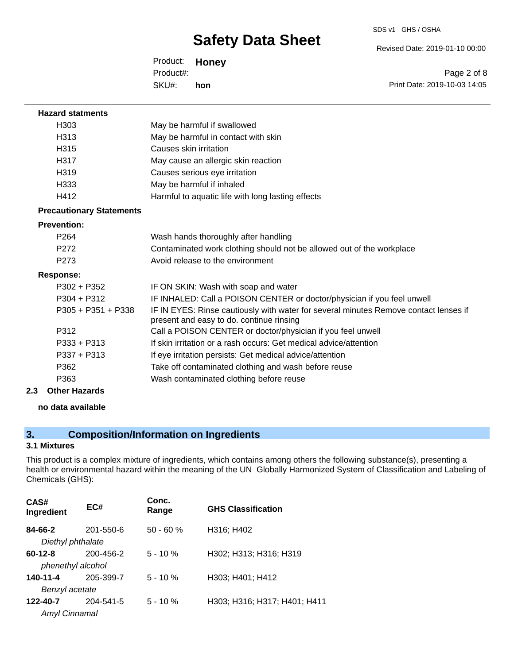SDS v1 GHS / OSHA

Revised Date: 2019-01-10 00:00

Product: **Honey** SKU#: Product#: **hon**

Page 2 of 8 Print Date: 2019-10-03 14:05

| <b>Hazard statments</b>         |                                                                                                                                  |
|---------------------------------|----------------------------------------------------------------------------------------------------------------------------------|
| H <sub>303</sub>                | May be harmful if swallowed                                                                                                      |
| H <sub>3</sub> 13               | May be harmful in contact with skin                                                                                              |
| H315                            | Causes skin irritation                                                                                                           |
| H317                            | May cause an allergic skin reaction                                                                                              |
| H319                            | Causes serious eye irritation                                                                                                    |
| H <sub>333</sub>                | May be harmful if inhaled                                                                                                        |
| H412                            | Harmful to aquatic life with long lasting effects                                                                                |
| <b>Precautionary Statements</b> |                                                                                                                                  |
| <b>Prevention:</b>              |                                                                                                                                  |
| P <sub>264</sub>                | Wash hands thoroughly after handling                                                                                             |
| P <sub>272</sub>                | Contaminated work clothing should not be allowed out of the workplace                                                            |
| P <sub>273</sub>                | Avoid release to the environment                                                                                                 |
| <b>Response:</b>                |                                                                                                                                  |
| $P302 + P352$                   | IF ON SKIN: Wash with soap and water                                                                                             |
| $P304 + P312$                   | IF INHALED: Call a POISON CENTER or doctor/physician if you feel unwell                                                          |
| $P305 + P351 + P338$            | IF IN EYES: Rinse cautiously with water for several minutes Remove contact lenses if<br>present and easy to do. continue rinsing |
| P312                            | Call a POISON CENTER or doctor/physician if you feel unwell                                                                      |
| $P333 + P313$                   | If skin irritation or a rash occurs: Get medical advice/attention                                                                |
| $P337 + P313$                   | If eye irritation persists: Get medical advice/attention                                                                         |
| P362                            | Take off contaminated clothing and wash before reuse                                                                             |
| P363                            | Wash contaminated clothing before reuse                                                                                          |
| 2.3<br><b>Other Hazards</b>     |                                                                                                                                  |

#### **no data available**

## **3. Composition/Information on Ingredients**

## **3.1 Mixtures**

This product is a complex mixture of ingredients, which contains among others the following substance(s), presenting a health or environmental hazard within the meaning of the UN Globally Harmonized System of Classification and Labeling of Chemicals (GHS):

| CAS#<br>Ingredient   | EC#       | Conc.<br>Range | <b>GHS Classification</b>    |
|----------------------|-----------|----------------|------------------------------|
| 84-66-2              | 201-550-6 | $50 - 60 %$    | H316; H402                   |
| Diethyl phthalate    |           |                |                              |
| $60 - 12 - 8$        | 200-456-2 | $5 - 10 \%$    | H302; H313; H316; H319       |
| phenethyl alcohol    |           |                |                              |
| 140-11-4             | 205-399-7 | $5 - 10 \%$    | H303; H401; H412             |
| Benzyl acetate       |           |                |                              |
| 122-40-7             | 204-541-5 | $5 - 10%$      | H303; H316; H317; H401; H411 |
| <b>Amyl Cinnamal</b> |           |                |                              |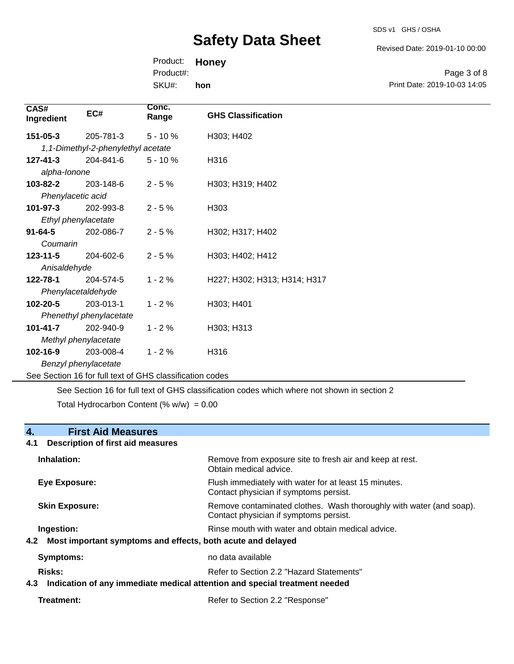SDS v1 GHS / OSHA

Revised Date: 2019-01-10 00:00

| Product: Honey |     |                              |
|----------------|-----|------------------------------|
| Product#:      |     | Page 3 of 8                  |
| SKU#:          | hon | Print Date: 2019-10-03 14:05 |

| CAS#<br>Ingredient                                       | EC#                                | Conc.<br>Range | <b>GHS Classification</b>                                                                   |
|----------------------------------------------------------|------------------------------------|----------------|---------------------------------------------------------------------------------------------|
| $151 - 05 - 3$                                           | 205-781-3                          | $5 - 10%$      | H303; H402                                                                                  |
|                                                          | 1,1-Dimethyl-2-phenylethyl acetate |                |                                                                                             |
| $127 - 41 - 3$                                           | 204-841-6                          | $5 - 10%$      | H316                                                                                        |
| alpha-lonone                                             |                                    |                |                                                                                             |
| 103-82-2                                                 | 203-148-6                          | $2 - 5%$       | H303; H319; H402                                                                            |
| Phenylacetic acid                                        |                                    |                |                                                                                             |
| 101-97-3                                                 | 202-993-8                          | $2 - 5%$       | H303                                                                                        |
| Ethyl phenylacetate                                      |                                    |                |                                                                                             |
| $91 - 64 - 5$                                            | 202-086-7                          | $2 - 5%$       | H302; H317; H402                                                                            |
| Coumarin                                                 |                                    |                |                                                                                             |
| $123 - 11 - 5$                                           | 204-602-6                          | $2 - 5%$       | H303; H402; H412                                                                            |
| Anisaldehyde                                             |                                    |                |                                                                                             |
| 122-78-1                                                 | 204-574-5                          | $1 - 2%$       | H227; H302; H313; H314; H317                                                                |
| Phenylacetaldehyde                                       |                                    |                |                                                                                             |
| 102-20-5                                                 | 203-013-1                          | $1 - 2%$       | H303; H401                                                                                  |
|                                                          | Phenethyl phenylacetate            |                |                                                                                             |
| $101 - 41 - 7$                                           | 202-940-9                          | $1 - 2%$       | H303; H313                                                                                  |
| Methyl phenylacetate                                     |                                    |                |                                                                                             |
| 102-16-9                                                 | 203-008-4                          | $1 - 2%$       | H316                                                                                        |
|                                                          | Benzyl phenylacetate               |                |                                                                                             |
| See Section 16 for full text of GHS classification codes |                                    |                |                                                                                             |
|                                                          |                                    |                | See Section 16 for full text of GHS classification codes which where not shown in section 2 |

Total Hydrocarbon Content (%  $w/w$ ) = 0.00

## **4. First Aid Measures**

## **4.1 Description of first aid measures**

| Inhalation:           | Remove from exposure site to fresh air and keep at rest.<br>Obtain medical advice.                               |  |
|-----------------------|------------------------------------------------------------------------------------------------------------------|--|
| <b>Eye Exposure:</b>  | Flush immediately with water for at least 15 minutes.<br>Contact physician if symptoms persist.                  |  |
| <b>Skin Exposure:</b> | Remove contaminated clothes. Wash thoroughly with water (and soap).<br>Contact physician if symptoms persist.    |  |
| Ingestion:<br>4.2     | Rinse mouth with water and obtain medical advice.<br>Most important symptoms and effects, both acute and delayed |  |
| Symptoms:             | no data available                                                                                                |  |
| Risks:                | Refer to Section 2.2 "Hazard Statements"                                                                         |  |
| 4.3                   | Indication of any immediate medical attention and special treatment needed                                       |  |
| Treatment:            | Refer to Section 2.2 "Response"                                                                                  |  |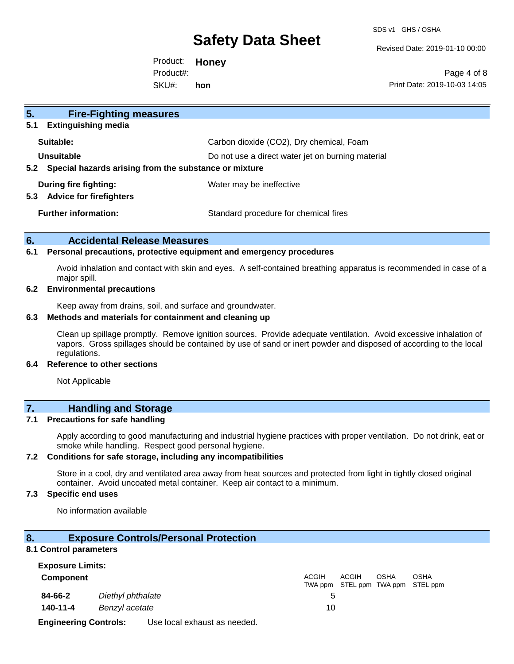SDS v1 GHS / OSHA

Revised Date: 2019-01-10 00:00

Product: **Honey** SKU#: Product#: **hon**

Page 4 of 8 Print Date: 2019-10-03 14:05

| <b>Fire-Fighting measures</b><br>5 <sub>1</sub><br><b>Extinguishing media</b><br>5.1 |                                                   |
|--------------------------------------------------------------------------------------|---------------------------------------------------|
| Suitable:                                                                            | Carbon dioxide (CO2), Dry chemical, Foam          |
| Unsuitable<br>Special hazards arising from the substance or mixture<br>5.2           | Do not use a direct water jet on burning material |
| During fire fighting:<br><b>Advice for firefighters</b><br>5.3                       | Water may be ineffective                          |
| <b>Further information:</b>                                                          | Standard procedure for chemical fires             |

## **6. Accidental Release Measures**

#### **6.1 Personal precautions, protective equipment and emergency procedures**

Avoid inhalation and contact with skin and eyes. A self-contained breathing apparatus is recommended in case of a major spill.

#### **6.2 Environmental precautions**

Keep away from drains, soil, and surface and groundwater.

### **6.3 Methods and materials for containment and cleaning up**

Clean up spillage promptly. Remove ignition sources. Provide adequate ventilation. Avoid excessive inhalation of vapors. Gross spillages should be contained by use of sand or inert powder and disposed of according to the local regulations.

## **6.4 Reference to other sections**

Not Applicable

## **7. Handling and Storage**

### **7.1 Precautions for safe handling**

Apply according to good manufacturing and industrial hygiene practices with proper ventilation. Do not drink, eat or smoke while handling. Respect good personal hygiene.

### **7.2 Conditions for safe storage, including any incompatibilities**

Store in a cool, dry and ventilated area away from heat sources and protected from light in tightly closed original container. Avoid uncoated metal container. Keep air contact to a minimum.

### **7.3 Specific end uses**

No information available

### **8. Exposure Controls/Personal Protection**

### **8.1 Control parameters**

| <b>Exposure Limits:</b>      |                   |                              |       |       |             |                                                  |
|------------------------------|-------------------|------------------------------|-------|-------|-------------|--------------------------------------------------|
| <b>Component</b>             |                   |                              | ACGIH | ACGIH | <b>OSHA</b> | <b>OSHA</b><br>TWA ppm STEL ppm TWA ppm STEL ppm |
| 84-66-2                      | Diethyl phthalate |                              |       |       |             |                                                  |
| 140-11-4                     | Benzyl acetate    |                              | 10    |       |             |                                                  |
| <b>Engineering Controls:</b> |                   | Use local exhaust as needed. |       |       |             |                                                  |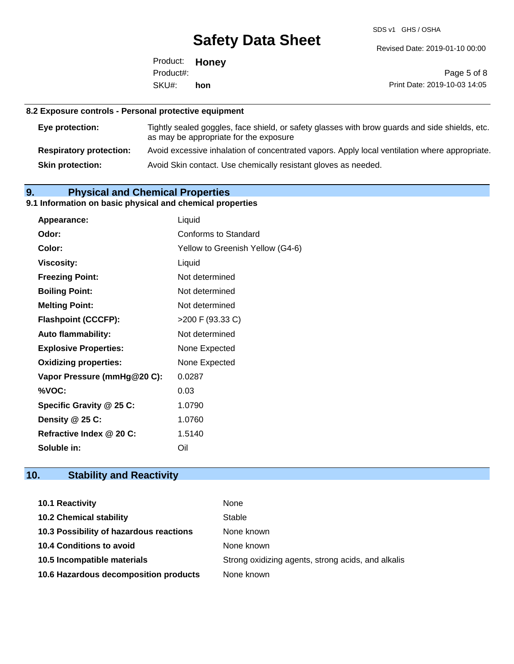SDS v1 GHS / OSHA

Revised Date: 2019-01-10 00:00

Product: **Honey** SKU#: Product#: **hon**

Page 5 of 8 Print Date: 2019-10-03 14:05

## **8.2 Exposure controls - Personal protective equipment**

| Eye protection:                | Tightly sealed goggles, face shield, or safety glasses with brow guards and side shields, etc.<br>as may be appropriate for the exposure |
|--------------------------------|------------------------------------------------------------------------------------------------------------------------------------------|
| <b>Respiratory protection:</b> | Avoid excessive inhalation of concentrated vapors. Apply local ventilation where appropriate.                                            |
| <b>Skin protection:</b>        | Avoid Skin contact. Use chemically resistant gloves as needed.                                                                           |

## **9. Physical and Chemical Properties**

## **9.1 Information on basic physical and chemical properties**

| Appearance:                  | Liquid                           |
|------------------------------|----------------------------------|
| Odor:                        | Conforms to Standard             |
| Color:                       | Yellow to Greenish Yellow (G4-6) |
| <b>Viscosity:</b>            | Liquid                           |
| <b>Freezing Point:</b>       | Not determined                   |
| <b>Boiling Point:</b>        | Not determined                   |
| <b>Melting Point:</b>        | Not determined                   |
| <b>Flashpoint (CCCFP):</b>   | >200 F (93.33 C)                 |
| <b>Auto flammability:</b>    | Not determined                   |
| <b>Explosive Properties:</b> | None Expected                    |
| <b>Oxidizing properties:</b> | None Expected                    |
| Vapor Pressure (mmHg@20 C):  | 0.0287                           |
| %VOC:                        | 0.03                             |
| Specific Gravity @ 25 C:     | 1.0790                           |
| Density @ 25 C:              | 1.0760                           |
| Refractive Index @ 20 C:     | 1.5140                           |
| Soluble in:                  | Oil                              |

## **10. Stability and Reactivity**

| 10.1 Reactivity                         | None                                               |
|-----------------------------------------|----------------------------------------------------|
| <b>10.2 Chemical stability</b>          | Stable                                             |
| 10.3 Possibility of hazardous reactions | None known                                         |
| <b>10.4 Conditions to avoid</b>         | None known                                         |
| 10.5 Incompatible materials             | Strong oxidizing agents, strong acids, and alkalis |
| 10.6 Hazardous decomposition products   | None known                                         |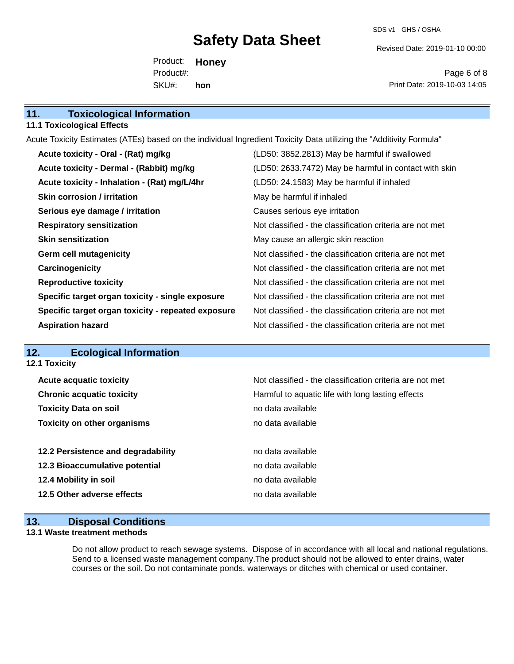SDS v1 GHS / OSHA

Revised Date: 2019-01-10 00:00

Product: **Honey** SKU#: Product#: **hon**

Page 6 of 8 Print Date: 2019-10-03 14:05

### **11.1 Toxicological Effects**

Acute Toxicity Estimates (ATEs) based on the individual Ingredient Toxicity Data utilizing the "Additivity Formula"

| Acute toxicity - Oral - (Rat) mg/kg                | (LD50: 3852.2813) May be harmful if swallowed            |
|----------------------------------------------------|----------------------------------------------------------|
| Acute toxicity - Dermal - (Rabbit) mg/kg           | (LD50: 2633.7472) May be harmful in contact with skin    |
| Acute toxicity - Inhalation - (Rat) mg/L/4hr       | (LD50: 24.1583) May be harmful if inhaled                |
| <b>Skin corrosion / irritation</b>                 | May be harmful if inhaled                                |
| Serious eye damage / irritation                    | Causes serious eye irritation                            |
| <b>Respiratory sensitization</b>                   | Not classified - the classification criteria are not met |
| <b>Skin sensitization</b>                          | May cause an allergic skin reaction                      |
| <b>Germ cell mutagenicity</b>                      | Not classified - the classification criteria are not met |
| Carcinogenicity                                    | Not classified - the classification criteria are not met |
| <b>Reproductive toxicity</b>                       | Not classified - the classification criteria are not met |
| Specific target organ toxicity - single exposure   | Not classified - the classification criteria are not met |
| Specific target organ toxicity - repeated exposure | Not classified - the classification criteria are not met |
| <b>Aspiration hazard</b>                           | Not classified - the classification criteria are not met |

## **12. Ecological Information**

**12.1 Toxicity**

| <b>Acute acquatic toxicity</b>     | Not classified - the classification criteria are not met |
|------------------------------------|----------------------------------------------------------|
| <b>Chronic acquatic toxicity</b>   | Harmful to aquatic life with long lasting effects        |
| <b>Toxicity Data on soil</b>       | no data available                                        |
| <b>Toxicity on other organisms</b> | no data available                                        |
|                                    |                                                          |
| 12.2 Persistence and degradability | no data available                                        |
| 12.3 Bioaccumulative potential     | no data available                                        |
| 12.4 Mobility in soil              | no data available                                        |
| 12.5 Other adverse effects         | no data available                                        |
|                                    |                                                          |

## **13. Disposal Conditions**

## **13.1 Waste treatment methods**

Do not allow product to reach sewage systems. Dispose of in accordance with all local and national regulations. Send to a licensed waste management company.The product should not be allowed to enter drains, water courses or the soil. Do not contaminate ponds, waterways or ditches with chemical or used container.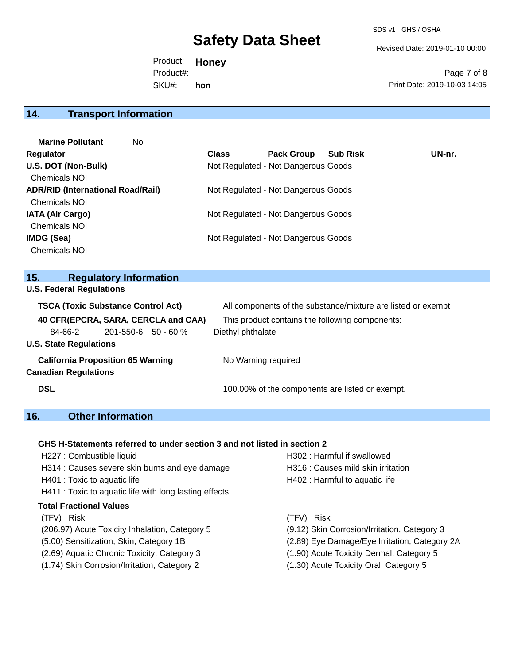SDS v1 GHS / OSHA

Revised Date: 2019-01-10 00:00

Product: **Honey** SKU#: Product#: **hon**

Page 7 of 8 Print Date: 2019-10-03 14:05

## **14. Transport Information**

| <b>Marine Pollutant</b><br>No.           |              |                                     |                 |        |
|------------------------------------------|--------------|-------------------------------------|-----------------|--------|
| <b>Regulator</b>                         | <b>Class</b> | <b>Pack Group</b>                   | <b>Sub Risk</b> | UN-nr. |
| U.S. DOT (Non-Bulk)                      |              | Not Regulated - Not Dangerous Goods |                 |        |
| <b>Chemicals NOI</b>                     |              |                                     |                 |        |
| <b>ADR/RID (International Road/Rail)</b> |              | Not Regulated - Not Dangerous Goods |                 |        |
| <b>Chemicals NOI</b>                     |              |                                     |                 |        |
| <b>IATA (Air Cargo)</b>                  |              | Not Regulated - Not Dangerous Goods |                 |        |
| <b>Chemicals NOI</b>                     |              |                                     |                 |        |
| <b>IMDG (Sea)</b>                        |              | Not Regulated - Not Dangerous Goods |                 |        |
| <b>Chemicals NOI</b>                     |              |                                     |                 |        |

## **15. Regulatory Information**

**U.S. Federal Regulations**

| <b>TSCA (Toxic Substance Control Act)</b> |                           | All components of the substance/mixture are listed or exempt |
|-------------------------------------------|---------------------------|--------------------------------------------------------------|
| 40 CFR(EPCRA, SARA, CERCLA and CAA)       |                           | This product contains the following components:              |
| 84-66-2                                   | $201 - 550 - 6$ 50 - 60 % | Diethyl phthalate                                            |
| <b>U.S. State Regulations</b>             |                           |                                                              |
| <b>California Proposition 65 Warning</b>  |                           | No Warning required                                          |
| <b>Canadian Regulations</b>               |                           |                                                              |
| <b>DSL</b>                                |                           | 100.00% of the components are listed or exempt.              |

## **16. Other Information**

## **GHS H-Statements referred to under section 3 and not listed in section 2**

| H227 : Combustible liquid                              | H302: Harmful if swallowed                    |
|--------------------------------------------------------|-----------------------------------------------|
| H314 : Causes severe skin burns and eye damage         | H316 : Causes mild skin irritation            |
| H401 : Toxic to aquatic life                           | H402 : Harmful to aquatic life                |
| H411 : Toxic to aquatic life with long lasting effects |                                               |
| <b>Total Fractional Values</b>                         |                                               |
| (TFV) Risk                                             | Risk<br>(TFV)                                 |
| (206.97) Acute Toxicity Inhalation, Category 5         | (9.12) Skin Corrosion/Irritation, Category 3  |
| (5.00) Sensitization, Skin, Category 1B                | (2.89) Eye Damage/Eye Irritation, Category 2A |
| (2.69) Aquatic Chronic Toxicity, Category 3            | (1.90) Acute Toxicity Dermal, Category 5      |
| (1.74) Skin Corrosion/Irritation, Category 2           | (1.30) Acute Toxicity Oral, Category 5        |
|                                                        |                                               |